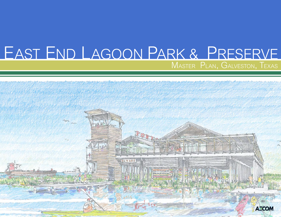# EAST END LAGOON PARK & PRESERVE MASTER PLAN, GALVESTON, TEXAS

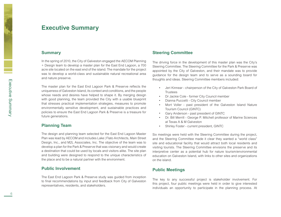## **Executive Summary**

#### **Summary**

In the spring of 2010, the City of Galveston engaged the AECOM Planning + Design team to develop a master plan for the East End Lagoon, a 700 acre site located on the east end of the island. The mandate for the project was to develop a world-class and sustainable natural recreational area and nature preserve.

The master plan for the East End Lagoon Park & Preserve reflects the uniqueness of Galveston Island, its context and conditions, and the people whose needs and desires have helped to shape it. By merging design with good planning, the team provided the City with a usable blueprint that stresses practical implementation strategies, measures to promote environmentally sensitive development, and sustainable practices and policies to ensure the East End Lagoon Park & Preserve is a treasure for future generations.

#### **Planning Team**

The design and planning team selected for the East End Lagoon Master Plan was lead by AECOM and includes Lake | Flato Architects, Main Street Design, Inc., and M2L Associates, Inc. The objective of the team was to develop a plan for the Park & Preserve that was visionary and would create a destination that could be used by locals and visitors alike. The site plan and building were designed to respond to the unique characteristics of the place and to be a natural partner with the environment.

#### **Public Involvement**

The East End Lagoon Park & Preserve study was guided from inception to final recommendations by input and feedback from City of Galveston representatives, residents, and stakeholders.

#### **Steering Committee**

The driving force in the development of this master plan was the City's Steering Committee. The Steering Committee for the Park & Preserve was appointed by the City of Galveston, and their mandate was to provide guidance for the design team and to serve as a sounding board for thoughts and ideas. Steering Committee members included:

- Jeri Kinnear chairperson of the City of Galveston Park Board of **Trustees**
- Dr Jackie Cole former City Council member
- Dianna Puccetti City Council member
- Mort Voller past president of the Galveston Island Nature Tourism Council (GINTC)
- Gary Anderson past president of GINTC
- Dr. Bill Merrill George P. Mitchell professor of Marine Sciences at Texas A & M Galveston
- • Shirley Foster current president, GINTC

Six meetings were held with the Steering Committee during the project, and the Steering Committee made it clear they wanted a "world class" site and educational facility that would attract both local residents and visiting tourists. The Steering Committee envisions the preserve and its interpretive center as a potential hub for nature tourism/environmental education on Galveston Island, with links to other sites and organizations on the island.

#### **Public Meetings**

The key to any successful project is stakeholder involvement. For this project, four public meetings were held in order to give interested individuals an opportunity to participate in the planning process. At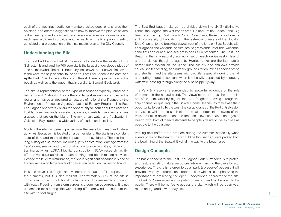each of the meetings, audience members asked questions, shared their opinions, and offered suggestions on how to improve the plan. At several of the meetings, audience members were asked a series of questions and each used a clicker to provide input in real time. The final public meeting consisted of a presentation of the final master plan to the City Council.

#### **Understanding the Site**

The East End Lagoon Park & Preserve is located on the eastern tip of Galveston Island, and the 700 acre site is the largest undeveloped piece of land on the island. The site is bound by the seawall and Seawall Boulevard to the west, the ship channel to the north, East End Beach to the east, and Apffel Park Road to the south and southeast. There is great access to the beach as well as to the lagoon that is parallel to Seawall Boulevard.

The site is representative of the type of landscape typically found on a barrier island. Galveston Bay is the 2nd largest estuarine complex in the region and has been declared an estuary of national significance by the Environmental Protection Agency's National Estuary Program. The East End Lagoon site offers visitors the opportunity to learn about the east end tidal lagoons, wetlands, grasslands, dunes, inter-tidal marshes, and sea grasses that are on the island. The mix of salt water and freshwater in Galveston Bay supports a wide variety of marine and bird life.

Much of the site has been impacted over the years by human and natural activities. Because it is located on a barrier island, the site is in a constant state of flux, and many of the impacts are unavoidable. The site has a long history of disturbance, including: jetty construction; damage from the 1900 storm; seawall and road construction; borrow activities; military fort, training activities, LORAN facility construction; NOAA research facility; off-road vehicular activities; beach parking; and beach related activities. Despite the level of disturbance, the site is significant because it is one of the few remaining large tracts of coastal prairie left on Galveston Island..

In some ways it is fragile and vulnerable because of its exposure to the elements, but it is also resilient. Approximately 80% of the site is considered to be jurisdictional wetlands and it is frequently inundated with water. Flooding from storm surges is a common occurrence. It is not uncommon for a spring tide with strong off-shore winds to inundate the site with 5' tidal surges.

The East End Lagoon site can be divided down into six (6) distinctive zones: the Lagoon, the Wet Ponds area, Upland Prairie, Beach Zone, Big Reef, and the Big Reef Beach Zone. Collectively, these zones boast a striking diversity of habitats, from the fast-moving waters of the Houston Ship Channel to the breaking waves west of the jetty on East Beach, with tidal lagoons and wetlands, coastal prairie grasslands, inter-tidal wetlands, sand flats and dunes, and sea grass beds all represented. The East End Beach is the only naturally accreting sand beach on Galveston Island, and the dunes, though ravaged by Hurricane Ike, are the last natural barrier dune system on the island. The estuary and shallows provide critical shelter, feeding, and nursery grounds for countless species of fish and shellfish, and the site teems with bird life, especially during the fall and spring migration seasons when it is heavily populated by migratory waterfowl passing through along the Mississippi Flyway.

The Park & Preserve is surrounded by powerful evidence of the role of humans in the natural world. The views north and east from the site are often dominated by big tankers and freighters moving through the ship channel or queuing in the Bolivar Roads Channel as they await their opportunity to berth. To the west, the cargo cranes of the Port of Galveston are visible, while to the south stand the tall condominium towers of the Palisade Palms development and the iconic low-rise coastal cottages of BeachTown, both of them testaments to people's desire to live as close as possible to the coastline.

Parking and traffic are a problem during the summer, especially when events occur on the beach. There could be thousands of cars parked from the beginning of the Seawall Blvd. all the way to the beach area.

#### **Design Concepts**

The basic concept for the East End Lagoon Park & Preserve is to protect and restore existing natural resources while enhancing the overall visitor experience. The site is referred to as a "park & preserve" because it will provide a variety of recreational opportunities while also emphasizing the importance of preserving the open, undeveloped character of the site. The Park & Preserve will not be gated or fenced, and will be open to the public. There will be no fee to access the site, which will be open year round and geared toward day use.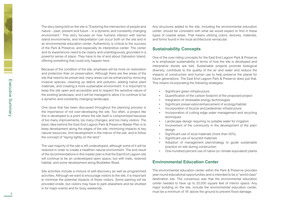The story being told on the site is "Exploring the intersection of people and nature – past, present and future – in a dynamic and constantly changing environment." This story focuses on how humans interact with barrier island environments, and interpretation can occur both on the site and in an environmental education center. Authenticity is critical to the success of the Park & Preserve, and especially its interpretive center. The center and its experiences need to be clearly and unambiguously grounded in a powerful sense of place. They have to be of and about Galveston Island, offering something that could only happen here.

Because of the condition of the site, emphasis will be more on restoration and protection than on preservation. Although there are few areas of the site that need to be preserved, many areas can be enhanced by removing invasive species, cleaning up debris and pollution, adding native plant materials, and creating a more sustainable environment. It is important to keep this site open and accessible and to respect the sensitive nature of the existing landscape, and it will be managed to allow it to continue to be a dynamic and constantly changing landscape.

One issue that has been discussed throughout the planning process is the importance of not over-developing the site. Too often, a project like this is developed to a point where the site itself is compromised because of too many improvements, too many changes, and too many visitors. The basic idea behind the East End Lagoon Park & Preserve Master Plan is to keep development along the edges of the site, minimizing impacts to key natural resources, limit development in the interior of the site, and to follow the concept of "laying lightly on the land."

The vast majority of the site is left undeveloped, although some of it will be restored in order to create a healthier natural environment. The end result of the recommendations in this master plan is that the East End Lagoon site will continue to be an undeveloped open space, but with trails, restored habitat, and some development along Boddeker Road.

Site activities include a mixture of self-discovery as well as programmed activities. Although we want to encourage visitors to the site, it is important to minimize the potential impacts of these visitors. Some parking will be provided onsite, but visitors may have to park elsewhere and be shuttled in for major events and for busy weekends.

Any structures added to the site, including the environmental education center, should be consistent with what we would expect to find in these types of coastal areas. That means utilizing colors, textures, materials, and forms found in the local architectural vernacular.

#### **Sustainability Concepts**

One of the over-riding concepts for the East End Lagoon Park & Preserve is to emphasize sustainability in terms of how the site is developed and interpretive stories are told. Sustainable projects promote biological diversity, contribute to the quality of the air and water and reduce the impacts of construction and human use to help preserve the planet for future generations. The East End Lagoon Park & Preserve does just that. This means incorporating the following strategies:

- • Significant green infrastructure
- • Quantification of the carbon footprint of the proposed project
- Integration of renewable energy technologies
- Significant preservation/enhancement of ecology/habitat
- • Incorporation of bicycle and pedestrian infrastructure
- Incorporation of cutting edge water management and recycling techniques
- Landscape design requiring no potable water for irrigation
- Involvement of the community in the development of the plan/ design
- Significant use of local materials (more than 50%)
- Significant use of recycled materials
- Adoption of management plan/strategy to guide sustainable practice on-site during construction
- One-hundred percent use of native (or climate equivalent) plants

#### **Environmental Education Center**

The environmental education center within the Park & Preserve provides year-round educational opportunities and is intended to be a "world class" destination site. The consensus was that the environmental education center needed to have up to 20,000 square feet of interior space. Any major building on the site, include the environmental education center, must be a minimum of 18' above the ground to prevent flood damage.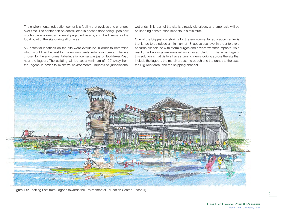The environmental education center is a facility that evolves and changes over time. The center can be constructed in phases depending upon how much space is needed to meet projected needs, and it will serve as the focal point of the site during all phases.

Six potential locations on the site were evaluated in order to determine which would be the best for the environmental education center. The site chosen for the environmental education center was just off Boddeker Road near the lagoon. The building will be set a minimum of 100' away from the lagoon in order to minimize environmental impacts to jurisdictional

wetlands. This part of the site is already disturbed, and emphasis will be on keeping construction impacts to a minimum.

One of the biggest constraints for the environmental education center is that it had to be raised a minimum of 18' above sea level in order to avoid hazards associated with storm surges and severe weather impacts. As a result, the buildings are elevated on a raised platform. The advantage of this solution is that visitors have stunning views looking across the site that include the lagoon, the marsh areas, the beach and the dunes to the east, the Big Reef area, and the shipping channel.



Figure 1.0: Looking East from Lagoon towards the Environmental Education Center (Phase II)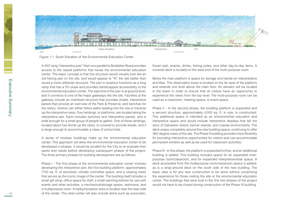

Figure 1.1: South Elevation of the Environmental Education Center

A 400'-long "interpretive pier" that runs parallel to Boddeker Road provides access to the raised platforms that house the environmental education center. The basic concept is that this structure would visually look like an old fishing pier on the site, and would appear to "fit" the site better than would a more utilitarian structure. The pier in essence functions as a long ramp that has a 5% slope and provides handicapped accessibility to the environmental education center. The east end of the pier is at ground level, and it connects to one of the major gateways into the site. Facilities at the gateway include an overhead structure that provides shade, interpretive panels that provide an overview of the Park & Preserve, and benches for the weary. Visitors can either follow paths leading into the site or traverse up the interpretive ramp. Four landings, or platforms, are located along the interpretive pier. Each includes benches and interpretive panels, and is wide enough for a small group of people to gather. One of these landings, located about two-thirds up the ramp, is covered to provide shade, and it is large enough to accommodate a class of school kids.

A series of modular buildings make up the environmental education center. This approach will allow the environmental education center to be developed in phases. It would be prudent for the City to re-evaluate their wants and needs before developing subsequent phases of the project. The three primary phases for building development are as follows:

Phase I - The first phase of the environmental education center involves developing the interpretive pier, the first building platform, approximately 7140 sq. ft. of enclosed, climate controlled space, and a viewing tower that serves as the iconic image of the center. The building itself includes a small gift shop, office space for staff, a small warming kitchen for use with events and other activities, a mechanical/storage space, restrooms, and a multipurpose room. A lobby/reception area is located near the east side of the center. The retail center will also include items such as sunscreen,

frozen bait, snacks, drinks, fishing poles, and other day-to-day items. A covered deck is located on the west end of the multi-purpose room.

Below the main platform is space for storage and hands-on interpretative activities. The observation tower is located on the far west of the platform and extends one level above the main floor. An elevator will be located in the tower in order to ensure that all visitors have an opportunity to experience the views from the top level. The multi-purpose room can be used as a classroom, meeting space, or event space.

Phase II - In the second phase, the building platform is expanded and a second structure, approximately 4,000 sq. ft. in size, is constructed. This additional space is intended as an environmental education and interpretive space and would include interpretive displays that tell the story of Galveston Island, barrier islands, and coastal environments. The deck wraps completely around the new building space, continuing to offer 360-degree views of the site. The Phase II building provides more flexibility for providing interpretive opportunities for visitors and can accommodate permanent exhibits as well as be used for classroom activities.

Phase III - In this phase, the platform is expanded further, and an additional building is added. This building includes space for an expanded multipurpose room/classroom, and for expanded interpretive/retail space. A deck accessible from the multipurpose room/classroom space is added, as is a wrap-around deck on the south side of the new building. The basic idea is for any new construction to be done without comprising the experience for those visiting the site or the environmental education center. The buildings that were built in the first two phases of the project would not have to be closed during construction of the Phase III building.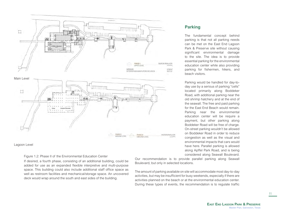

#### Lagoon Level

Figure 1.2: Phase II of the Environmental Education Center

If desired, a fourth phase, consisting of an additional building, could be added for use as an expanded flexible interpretive and multi-purpose space. This building could also include additional staff office space as well as restroom facilities and mechanical/storage space. An uncovered deck would wrap around the south and east sides of the building.

#### **Parking**

The fundamental concept behind parking is that not all parking needs can be met on the East End Lagoon Park & Preserve site without causing significant environmental damage to the site. The idea is to provide essential parking for the environmental education center while also providing parking for fishermen, hikers, and beach visitors.

Parking would be handled for day-today use by a serious of parking "cells" located primarily along Boddeker Road, with additional parking near the old shrimp hatchery and at the end of the seawall. The free and paid parking for the East End Beach would remain. Parking near the environmental education center will be require a payment, but other parking along Boddeker Road will be free of charge. On-street parking wouldn't be allowed on Boddeker Road in order to reduce congestion as well as the visual and environmental impacts that cars would have here. Parallel parking is allowed along Apffel Park Road, and is being considered along Seawall Boulevard.

Our recommendation is to provide parallel parking along Seawall Boulevard, but only in selected locations.

The amount of parking available on site will accommodate most day-to-day activities, but may be insufficient for busy weekends, especially if there are activities planned on the beach or at the environmental education center. During these types of events, the recommendation is to regulate traffic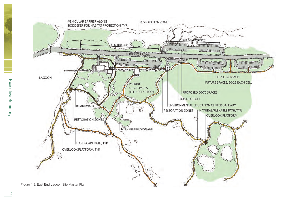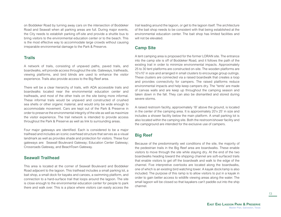on Boddeker Road by turning away cars on the intersection of Boddeker Road and Seawall when all parking areas are full. During major events, the City needs to establish parking off-site and provide a shuttle bus to bring visitors to the environmental education center or to the beach. This is the most effective way to accommodate large crowds without causing irreparable environmental damage to the Park & Preserve.

#### **Trails**

A network of trails, consisting of unpaved paths, paved trails, and boardwalks, will provide access throughout the site. Gateways, trailheads, viewing platforms, and bird blinds are used to enhance the visitor experience. Trails also provide access to the Big Reef area.

There will be a clear hierarchy of trails, with ADA accessible trails and boardwalks located near the environmental education center and trailheads, and most of the other trails on the site being more informal. These informal trails would be unpaved and constructed of crushed sea shells or other organic material, and would only be wide enough to accommodate movement. Cars are kept out of the Park & Preserve in order to preserve the environmental integrity of the site as well as maximize the visitor experience. The trail network is intended to provide access throughout the Park & Preserve as well as link to surrounding areas.

Four major gateways are identified. Each is considered to be a major trailhead and includes an iconic overhead structure that serves as a visual landmark as well as provides shade and protection for visitors. These four gateways are: Seawall Boulevard Gateway; Education Center Gateway; Crossroads Gateway, and BeachTown Gateway.

#### **Seawall Trailhead**

This area is located at the corner of Seawall Boulevard and Boddeker Road adjacent to the lagoon. This trailhead includes a small parking lot, a bait shop, a small dock for kayaks and canoes, a swimming platform, and connection to a hard-surface trail that loops around the lagoon. The site is close enough to the environmental education center for people to park there and walk over. This is a place where visitors can easily access the trail leading around the lagoon, or get to the lagoon itself. The architecture of the bait shop needs to be consistent with that being established at the environmental education center. The bait shop has limited facilities and will not be elevated.

#### **Camp Site**

A tent camping area is proposed for the former LORAN site. The entrance into the camp site is off of Boddeker Road, and it follows the path of the existing trail in order to minimize environmental impacts. Approximately 25 to 30 tent platforms are constructed on-site. The wooden platforms are 10'x10' in size and arranged in small clusters to encourage group outings. These clusters are connected via a raised boardwalk that creates a loop and provides connectivity for campers. The raised platforms reduce environmental impacts and help keep campers dry. The "tents' are made of canvas walls and are keep up throughout the camping season and taken down in the fall. They can also be dismantled and stored during severe storms.

A raised restroom facility, approximately 18' above the ground, is located in the center of the camping area. It is approximately 20'x 25' in size and includes a shower facility below the main platform. A small parking lot is also located within the camping site. Both the restroom/shower facility and the campground are intended for the exclusive use of campers.

### **Big Reef**

Because of the predominantly wet conditions of the site, the majority of the pedestrian trails in the Big Reef area are boardwalks. These enable visitors to move through the site while staying dry. At the end of the two boardwalks heading toward the shipping channel are soft-surfaced trails that enable visitors to get off the boardwalk and walk to the edge of the channel. Five interpretive overlooks are located along the boardwalks, one of which is an existing bird watching tower. A kayak dock/ramp is also included. The purpose of this ramp is to allow visitors to put in a kayak in order to gain better access to wildlife viewing areas along the water. The small lagoon will be closed so that kayakers can't paddle out into the ship channel.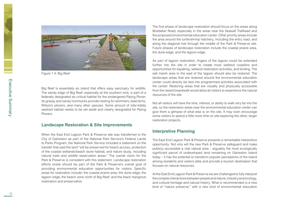



Figure 1.4: Big Reef

Big Reef is essentially an island that offers easy sanctuary for wildlife. The sandy edge of Big Reef, especially at the southern end, is part of a federally designated as critical habitat for the endangered Piping Plover. Its grassy and sandy hummocks provide nesting for skimmers, least terns, Wilson's plovers, and many other species. Some amount of inter-tidally washed habitat needs to be set aside and clearly designated for Piping Plovers.

#### **Landscape Restoration & Site Improvements**

When the East End Lagoon Park & Preserve site was transferred to the City of Galveston as part of the National Park Service's Federal Lands to Parks Program, the National Park Service included a statement on the transfer that said the land "will be preserved for beach access, protection of the coastal wetlands/beach dune habitat, and nature study, including natural trails and wildlife observation areas." The overall vision for the Park & Preserve is consistent with this statement. Landscape restoration efforts onsite should be part of the Park & Preserve's overall goal of providing environmental education opportunities for visitors. Specific areas for restoration include: the coastal prairie area; the dune edge; the lagoon edge; the beach zone north of Big Reef; and the black mangrove restoration and preservation.

The first phase of landscape restoration should focus on the areas along Boddeker Road, especially in the areas near the Seawall Trailhead and the proposed environmental education center. Other priority areas include the area around the turtle/shrimp hatchery, including the entry road, and along the diagonal trail through the middle of the Park & Preserve site. Future phases of landscape restoration include the coastal prairie area, the dune edge, and the lagoon edge.

As part of lagoon restoration, fingers of the lagoon could be extended further into the site in order to create more wetland coastline and opportunities for kayaking, wetland restoration activities, and birding. The salt marsh area to the east of the lagoon should also be restored. The landscape areas that are restored around the environmental education center could directly be tied into programmed activities associated with the center. Restoring areas that are visually and physically accessible from the raised boardwalk would allow all visitors to experience the natural resources of the site.

Not all visitors will have the time, interest, or ability to walk very far into the site, so the restoration areas near the environmental education center can give them a glimpse of what else is on the site. It may even encourage some visitors to spend a little more time on site exploring the other, larger restoration projects.

#### **Interpretive Planning**

The East End Lagoon Park & Preserve presents a remarkable interpretive opportunity. Not only will the new Park & Preserve safeguard and make publicly accessible a vital natural area – arguably the most ecologically significant parcel of undeveloped land remaining on Galveston Island today – it has the potential to transform popular perceptions of the island among residents and visitors alike and provide a tourism destination that focuses on natural resources.

At the East End Lagoon Park & Preserve we are challenged to fully interpret the complex interactions between people and nature, industry and ecology, and cultural heritage and natural history. What is recommended is a new kind of "nature preserve," with a new kind of environmental education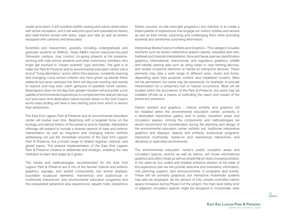center at its heart. It will combine wildlife viewing and nature observation with active recreation, and it will welcome sport and subsistence fishers and shell-fishers armed with poles, traps and nets as well as birders equipped with cameras and binoculars.

Scientists and researchers, possibly including undergraduate and graduate students at TAMUG, Texas A&M's marine resources-focused Galveston campus, may conduct on-going projects at the preserve, working with high-school students and other community members who might get involved in "citizen scientist" type activities. The goal is to make the Park & Preserve and its environmental education center into a kind of "living laboratory," active rather than passive, constantly evolving and changing. Local school children who have grown up beside these wetlands but never ventured into them will discover exciting new worlds to explore and may even catch glimpses of possible future careers. Beachgoers down for the day from greater Houston will encounter a rich palette of environmental experiences to complement the island's famous surf and sand. And destination nature tourists drawn to the Gulf Coast's world-class birding will have a new starting point from which to launch their adventures.

The East End Lagoon Park & Preserve and its environmental education center will evolve over time. Beginning with a targeted focus on the ecology and natural history of the preserve and its habitats, interpretive offerings will expand to include a diverse network of trails and exterior interpretation as well as long-term and changing interior exhibits addressing not just the immediate environs of the East End Lagoon Park & Preserve, but a broad range of related regional, national, and global topics. The phased implementation of the East End Lagoon Park & Preserve initiative is deliberate and strategic, enabling the new institution to learn and adapt as it grows.

The media and methodologies recommended for the East End Lagoon Park & Preserve are a mix of the familiar (interior and exterior graphics, signage, and exhibit components; live animal displays; touchable sculptural elements; mechanical and audiovisual or multimedia interactives; and environmental education programs) and the unexpected (adventure play experiences; aquatic trails; interpretive fitness courses; on-site overnight programs.) Our intention is to create a linked palette of experiences that engage our visitors' bodies and senses as well as their minds, surprising and challenging them while providing essential and sometimes surprising information.

Interpretive Media Exterior Exhibits and Graphics - This category includes elements such as kiosks; interpretive graphic panels, waysides and rails; trailhead and trailside interpretation; flora and fauna species identification graphics; informational, instructional, and regulatory graphics; wildlife and habitat viewing aids such as siting tubes or view framing devices; and simple sculptural elements or hands-on interactive devices. These elements may take a wide range of different sizes, styles and forms, depending upon their purpose, content, and installation location. Most will be permanent, but some may be ephemeral, for example, to provide interpretation for a temporary trail or natural occurrence. Most will be located within the boundaries of the Park & Preserve, but some may be installed off-site as a means of extending the reach and impact of the preserve's presence.

Interior exhibits and graphics - Interior exhibits and graphics will be installed within the environmental education center, primarily in a dedicated interpretive gallery and in public reception areas and circulation spaces. Among the components and methodologies we would recommend for consideration during the planning and design of the environmental education center exhibits are: traditional interpretive graphics and displays; objects and artifacts; audiovisual programs; interactive multimedia; hands-on and mechanical interactives; and dioramas or replicated environments.

The environmental education center's public reception areas and circulation spaces, exterior as well as interior, will house informational graphics and other media as well as simple flat art-style changing exhibits. In the open-air but roofed and shaded entrance pavilion at the base of the experience pier we will provide welcome and orientation information, visit planning support, and announcements of programs and events. These will be primarily graphical, but interactive multimedia systems may also be employed. As the amount of fully climate controlled interior space increases during Phase II of the project, the main level lobby and/ or adjacent circulation spaces might be designed to incorporate clear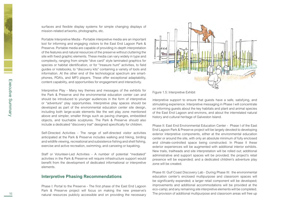surfaces and flexible display systems for simple changing displays of mission-related artworks, photographs, etc.

Portable Interpretive Media - Portable interpretive media are an important tool for informing and engaging visitors to the East End Lagoon Park & Preserve. Portable media are capable of providing in-depth interpretation of the features and natural resources of the preserve without cluttering the site with fixed graphic elements. These media can vary widely in type and complexity, ranging from simple "dive card" style laminated graphics for species or habitat identification, or for "treasure hunt" activities, to field guides or notebooks, to "discovery kits" containing a variety of tools and information. At the other end of the technological spectrum are smartphones, PDA's, and MP3 players. These offer exceptional adaptability, content capability, and opportunities for engagement and interactivity.

Interpretive Play - Many key themes and messages of the exhibits for the Park & Preserve and the environmental education center can and should be introduced to younger audiences in the form of interpretive or "adventure" play opportunities. Interpretive play spaces should be developed as part of the environmental education center site design, including both large-scale elements like the wet play zone mentioned above and simpler, smaller things such as paving changes, embedded objects, and touchable sculptures. The Park & Preserve should also include a dedicated "discovery trail" designed specifically for children.

Self-Directed Activities - The range of self-directed visitor activities anticipated at the Park & Preserve includes walking and hiking, birding and wildlife viewing, recreational and subsistence fishing and shell fishing, exercise and active recreation, swimming, and canoeing or kayaking.

Staff or Volunteer-Led Activities - A number of potential "mediated" activities in the Park & Preserve will require infrastructure support would benefit from the development of dedicated informational or interpretive elements.

#### **Interpretive Phasing Recommendations**

Phase I: Portal to the Preserve - The first phase of the East End Lagoon Park & Preserve project will focus on making the new preserve's natural resources publicly accessible and on providing the necessary



Figure 1.5: Interpretive Exhibit

interpretive support to ensure that guests have a safe, satisfying, and stimulating experience. Interpretive messaging in Phase I will concentrate on informing guests about the key habitats and plant and animal species of the East End Lagoon and environs, and about the interrelated natural history and cultural heritage of Galveston Island.

Phase II: East End Environmental Education Center - Phase I of the East End Lagoon Park & Preserve project will be largely devoted to developing exterior interpretive components, either at the environmental education center or around the site, with only an absolute minimum of fully enclosed and climate-controlled space being constructed. In Phase II these exterior experiences will be augmented with additional interior exhibits. New trails, trailheads and site interpretation will be rolled out; additional administrative and support spaces will be provided; the project's retail presence will be expanded; and a dedicated children's adventure play zone will be created.

Phase III: Gulf Coast Discovery Lab - During Phase III: the environmental education center's enclosed multipurpose and classroom spaces will be significantly expanded; a larger retail component will be developed; improvements and additional accommodations will be provided at the eco-camp; and any remaining site interpretive elements will be completed. The provision of additional multipurpose and classroom areas will free up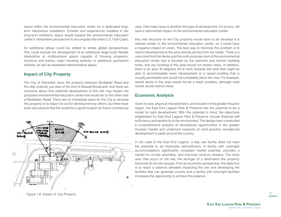space within the environmental education center for a dedicated longterm interpretive installation. Exhibits and experiences installed in the long-term exhibition space would expand the environmental education center's interpretive perspective to encompass the entire U.S. Gulf Coast.

An additional phase could be added to stress global perspectives. This could include the development of an additional large-scale flexible interpretive or multipurpose space capable of housing programs, functions and events; major traveling exhibits; or additional permanent exhibits; as well as expanded administrative space

#### **Impact of City Property**

The City of Galveston owns the property between Boddeker Road and the ship channel, just east of the end of Seawall Boulevard, and there are concerns about how potential development of this site may impact the proposed environmental education center that would be on the other side of Boddeker. Road. There are no immediate plans for the City to develop this property or to lease it to out for development by others, but there have been discussions that this would be a good location for future commercial



uses. One major issue is whether this type of development, if it occurs, will have a detrimental impact on the environmental education center.

Any new structure on the City property would have to be elevated in a manner similar to the environmental education center, so it could have a negative impact on views. The best way to minimize this problem is to restrict development to the area directly across from the center. There is a view zone from the decks and the multi-purpose room of the environmental education center that is blocked by the restroom and kitchen building mass, and any building in this area would not impact views. In addition, there is an area 30 degrees off of north towards the west that might be able to accommodate lower development or a raised building that is visually permeable and would not completely block the view. For example, raised decks in this area would not be a major problem, although solid woods would restrict views.

#### **Economic Analysis**

Given its size, physical characteristics, and location in the greater Houston region, the East End Lagoon Park & Preserve has the potential to be a model for park development. With this potential in mind, the objectives established for East End Lagoon Park & Preserve include financial self sufficiency and sensitivity to the environment. The design team conducted a comprehensive analysis of recreational opportunities in the greater Houston market and undertook research on best practice recreational development in parks around the country.

In the case of the East End Lagoon, a day use facility does not have the potential to be financially self-sufficient. A facility with overnight accommodations significantly increases market potential, provides a market for on-site amenities, and improves revenue streams. The more uses that occur on the site, the stronger of a destination the property becomes for all user groups. From an economic perspective, the objective is to reach a balance between impacting the site and developing the facilities that can generate income and a facility with overnight facilities increases the opportunity to achieve this balance.

Figure 1.6: Impact of City Property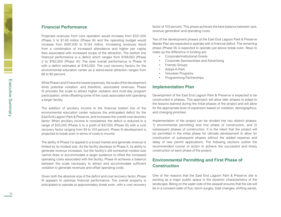#### **Financial Performance**

Projected revenues from core operation would increase from \$321,000 (Phase I) to \$1.48 million (Phase III) and the operating budget would increase from \$491,000 to \$1.64 million. Increasing revenues result from a combination of increased attendance and higher per capita fees associated with increased scope of the attraction. The bottom line financial performance is a deficit which ranges from \$169,000 (Phase I) to \$162,500 (Phase III). The best overall performance is Phase III with a deficit estimated at \$163,000. The cost recovery factors for the environmental education center as a stand-alone attraction ranges from 66 to 90 percent.

While Phase I and II have the lowest expenses, the scale of the development limits potential visitation, and therefore, associated revenues. Phase III provides the scale to attract higher visitation and multi-day program participation, while offsetting some of the costs associated with operating a larger facility.

The addition of ancillary income to the financial bottom line of the environmental education center reduces the anticipated deficit for the East End Lagoon Park & Preserve, and increases the overall cost recovery factor. When ancillary income is considered, the deficit is reduced to a range of \$35,500 (Phase I) to a profit of \$47,000 (Phase III) with a cost recovery factor ranging from 93 to 103 percent. Phase III development is projected to break even in terms of costs to income.

The ability of Phase I to appeal to a broad market and generate revenue is limited by its modest size. As the facility develops to Phase II, its ability to generate revenue increases, but the facility's still somewhat modest size cannot draw or accommodate a larger audience to offset the increased operating costs associated with the facility. Phase III achieves a balance between the scale necessary to attract and accommodate sufficient visitation to generate revenues and offset operating costs.

Given both the absolute size of the deficit and cost recovery factor, Phase III appears to optimize financial performance. The overall property is anticipated to operate at approximately break even, with a cost recovery factor of 103 percent. This phase achieves the best balance between size, revenue generation and operating costs.

Two of the development phases of the East End Lagoon Park & Preserve Master Plan are expected to operate with a financial deficit. The remaining phase (Phase III) is expected to operate just above break even. Ways to make up the difference in funding are:

- • Corporate/Institutional Grants
- • Corporate Sponsorships and Advertising
- Friends Groups
- • Adopt-A-Park
- • Volunteer Programs
- • Programming Partnerships

#### **Implementation Plan**

Development of the East End Lagoon Park & Preserve is expected to be constructed in phases. This approach will allow later phases to adapt to the lessons learned during the initial phases of the project and will allow for the appropriate level of expansion based on visitation, demographics, and changing priorities.

Implementation of the project can be divided into two distinct phases: 1) environmental permitting and first phase of construction, and 2) subsequent phases of construction. It is the intent that the project will be permitted in the initial phase for ultimate development to allow for construction of subsequent phases without the added expense and delay of new permit applications. The following sections outline the recommended course of action to achieve the successful and timely construction of each phase of the project.

#### **Environmental Permitting and First Phase of Construction**

One of the reasons that the East End Lagoon Park & Preserve site is exciting as a major public space is the dynamic characteristics of the landscape. Being on the water side of the seawall ensures that the site will be in a constant state of flux; storm surges, tidal changes, shifting sands,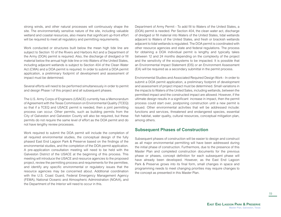strong winds, and other natural processes will continuously shape the site. The environmentally sensitive nature of the site, including valuable wetland and coastal resources, also means that significant up-front effort will be required to meet all regulatory and permitting requirements.

Work conducted or structures built below the mean high tide line are subject to Section 10 of the Rivers and Harbors Act and a Department of the Army (DOA) permit is required. Also, the discharge of dredged or fill material below the annual high tide line or into Waters of the United States, including adjacent wetlands is subject to Section 404 of the Clean Water Act (CWA) and a DOA permit is required. In order to submit a DOA permit application, a preliminary footprint of development and assessment of impact must be determined.

Several efforts will need to be performed simultaneously in order to permit and design Phase I of this project and all subsequent phases.

The U.S. Army Corps of Engineers (USACE) currently has a Memorandum of Agreement with the Texas Commission on Environmental Quality (TCEQ) so that if a TCEQ and USACE permit is needed, then a joint permitting process can occur. Other permits, such as building permits from the City of Galveston and Galveston County will also be required, but these permits do not require the same level of effort as the DOA permit and do not have lengthy review processes.

Work required to submit the DOA permit will include the completion of all required environmental studies, the conceptual design of the fully phased East End Lagoon Park & Preserve based on the findings of the environmental studies, and the completion of the DOA permit application. A pre-application consultation meeting will need to be held with the Galveston District of the USACE at the beginning of this process. This meeting will introduce the USACE and resource agencies to the proposed project, review the permitting process and requirements for the permittee, and identify any specific environmental or regulatory issues that the resource agencies may be concerned about. Additional coordination with the U.S. Coast Guard, Federal Emergency Management Agency (FEMA), National Oceanic and Atmospheric Administration (NOAA), and the Department of the Interior will need to occur in this.

Department of Army Permit - To add fill to Waters of the United States, a (DOA) permit is needed. Per Section 404, the clean water act, discharge of dredged or fill material into Waters of the United States, tidal wetlands adjacent to Waters of the United States, and fresh or brackish wetlands adjacent to tidal wetlands is regulated. The DOA permit is coordinated with other resource agencies and state and federal regulations. The process for obtaining a DOA individual permit is lengthy and typically takes between 12 and 24 months depending on the complexity of the project and the sensitivity of the ecosystems to be impacted. It is possible that an Environmental Impact Statement (EIS) or an Environment Assessment (EA) will be required as a secondary submittal in the permit process.

Environmental Studies and Associated Required Design Work - In order to submit a DOA permit application, a preliminary footprint of development and assessment of project impact must be determined. Small variations in the impacts to Waters of the United Sates, including wetlands, between the permitted impact and the constructed impact are allowed. However, if the ultimate design results in a significant increase in impact, then the permit process could start over, postponing construction until a new permit is issued. Other environmental activities that will be addressed include: functions and services, threatened and endangered species, essential fish habitat, water quality, cultural resources, conceptual mitigation plan, among others.

#### **Subsequent Phases of Construction**

Subsequent phases of construction will be easier to design and construct as all major environmental permitting will have been addressed during the initial phase of construction. Furthermore, due to the presence of this Master Plan and completed construction documents for the previous phase or phases, concept definition for each subsequent phase will have already been developed. However, as the East End Lagoon Park & Preserve grows into its final form, small changes in space and programming needs to meet changing priorities may require changes to the concept as presented in this Master Plan.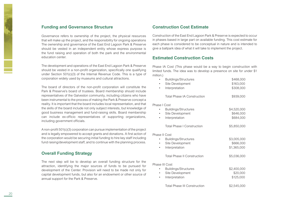#### **Funding and Governance Structure**

Governance refers to ownership of the project, the physical resources that will make up the project, and the responsibility for ongoing operations The ownership and governance of the East End Lagoon Park & Preserve should be vested in an independent entity whose express purpose is the fund raising and operation of both the park and the environmental education center.

The development and operations of the East End Lagoon Park & Preserve should be vested in a non-profit organization, specifically one qualifying under Section 501(c)(3) of the Internal Revenue Code. This is a type of corporation widely used by museums and cultural attractions.

The board of directors of the non-profit corporation will constitute the Park & Preserve's board of trustees. Board membership should include representatives of the Galveston community, including citizens who have been instrumental to the process of making the Park & Preserve concept a reality. It is important that the board includes local representation, and that the skills of the board include not only subject interests, but knowledge of good business management and fund-raising skills. Board membership can include ex-officio representatives of supporting organizations, including government officials.

A non-profit 501(c)(3) corporation can pursue implementation of the project and is legally empowered to accept grants and donations. A first action of the corporation would be securing initial funding to hire key staff including fund raising/development staff, and to continue with the planning process.

#### **Overall Funding Strategy**

The next step will be to develop an overall funding structure for the attraction, identifying the major sources of funds to be pursued for development of the Center. Provision will need to be made not only for capital development funds, but also for an endowment or other source of annual support for the Park & Preserve.

#### **Construction Cost Estimate**

Construction of the East End Lagoon Park & Preserve is expected to occur in phases based in large part on available funding. This cost estimate for each phase is considered to be conceptual in nature and is intended to give a ballpark idea of what it will take to implement the project.

#### **Estimated Construction Costs**

Phase IA Cost (This phase would be a way to begin construction with limited funds. The idea was to develop a presence on site for under \$1 million.)

| \$468,000<br>\$163,000<br>\$308,000     |
|-----------------------------------------|
| \$939,000                               |
|                                         |
| \$4,520,000<br>\$646,000<br>\$684,000   |
| \$5,850,000                             |
|                                         |
| \$3,005,000<br>\$666,000<br>\$1,365,000 |
| \$5,036,000                             |
|                                         |
| \$2,400,000<br>\$20,000<br>\$125,000    |
| \$2,545,000                             |
|                                         |